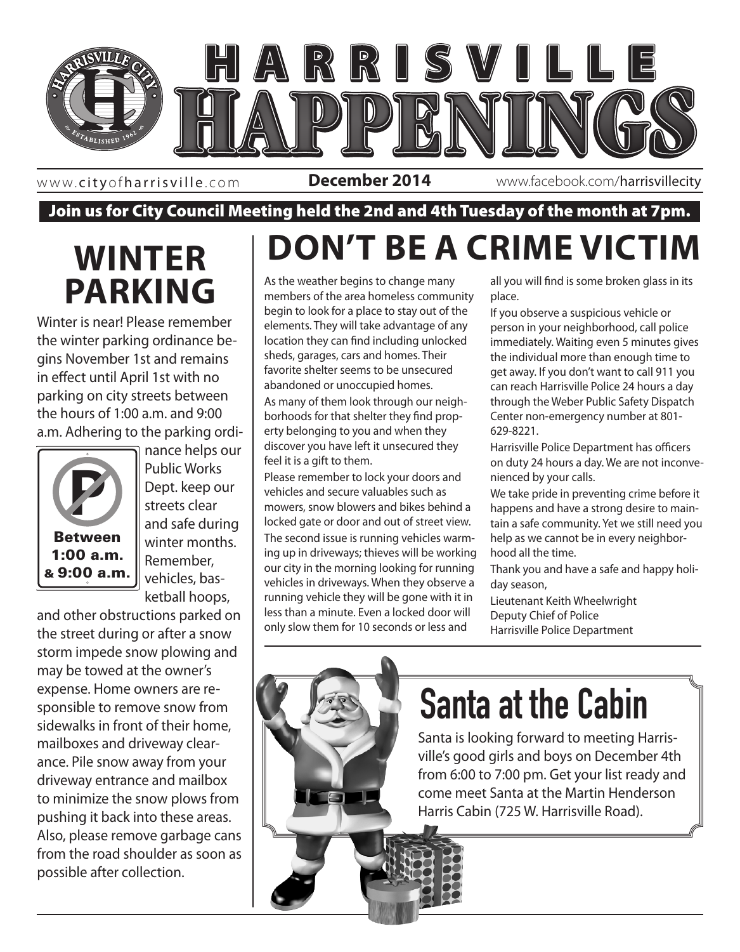

www.cityofharrisville.com

**December 2014** www.facebook.com/harrisvillecity

#### Join us for City Council Meeting held the 2nd and 4th Tuesday of the month at 7pm.

### **WINTER PARKING**

Winter is near! Please remember the winter parking ordinance begins November 1st and remains in effect until April 1st with no parking on city streets between the hours of 1:00 a.m. and 9:00 a.m. Adhering to the parking ordi-



nance helps our Public Works Dept. keep our streets clear and safe during winter months. Remember, vehicles, basketball hoops,

and other obstructions parked on the street during or after a snow storm impede snow plowing and may be towed at the owner's expense. Home owners are responsible to remove snow from sidewalks in front of their home, mailboxes and driveway clearance. Pile snow away from your driveway entrance and mailbox to minimize the snow plows from pushing it back into these areas. Also, please remove garbage cans from the road shoulder as soon as possible after collection.

As the weather begins to change many members of the area homeless community begin to look for a place to stay out of the elements. They will take advantage of any location they can find including unlocked sheds, garages, cars and homes. Their favorite shelter seems to be unsecured abandoned or unoccupied homes. As many of them look through our neighborhoods for that shelter they find property belonging to you and when they discover you have left it unsecured they feel it is a gift to them.

vehicles and secure valuables such as  $\mathsf{W}\mathsf{e}$ Please remember to lock your doors and mowers, snow blowers and bikes behind a locked gate or door and out of street view. The second issue is running vehicles warming up in driveways; thieves will be working our city in the morning looking for running vehicles in driveways. When they observe a running vehicle they will be gone with it in less than a minute. Even a locked door will only slow them for 10 seconds or less and

all you will find is some broken glass in its place.

**DON'T BE A CRIME VICTIM**

If you observe a suspicious vehicle or person in your neighborhood, call police immediately. Waiting even 5 minutes gives the individual more than enough time to get away. If you don't want to call 911 you can reach Harrisville Police 24 hours a day through the Weber Public Safety Dispatch Center non-emergency number at 801- 629-8221.

Harrisville Police Department has officers on duty 24 hours a day. We are not inconvenienced by your calls.

We take pride in preventing crime before it happens and have a strong desire to maintain a safe community. Yet we still need you help as we cannot be in every neighborhood all the time.

Thank you and have a safe and happy holiday season,

Lieutenant Keith Wheelwright Deputy Chief of Police Harrisville Police Department

## **Santa at the Cabin**

Santa is looking forward to meeting Harrisville's good girls and boys on December 4th from 6:00 to 7:00 pm. Get your list ready and come meet Santa at the Martin Henderson Harris Cabin (725 W. Harrisville Road).